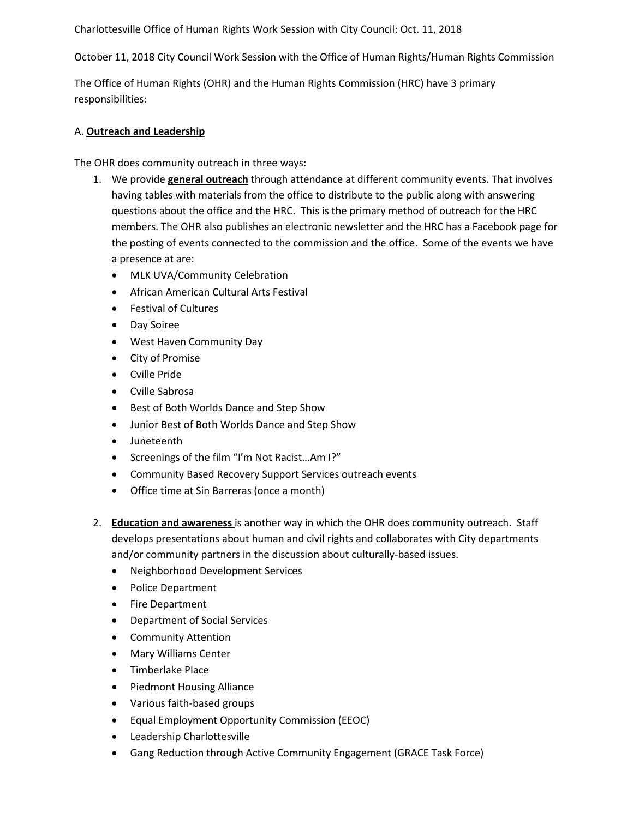October 11, 2018 City Council Work Session with the Office of Human Rights/Human Rights Commission

The Office of Human Rights (OHR) and the Human Rights Commission (HRC) have 3 primary responsibilities:

## A. **Outreach and Leadership**

The OHR does community outreach in three ways:

- 1. We provide **general outreach** through attendance at different community events. That involves having tables with materials from the office to distribute to the public along with answering questions about the office and the HRC. This is the primary method of outreach for the HRC members. The OHR also publishes an electronic newsletter and the HRC has a Facebook page for the posting of events connected to the commission and the office. Some of the events we have a presence at are:
	- MLK UVA/Community Celebration
	- African American Cultural Arts Festival
	- Festival of Cultures
	- Day Soiree
	- West Haven Community Day
	- City of Promise
	- Cville Pride
	- Cville Sabrosa
	- Best of Both Worlds Dance and Step Show
	- Junior Best of Both Worlds Dance and Step Show
	- Juneteenth
	- Screenings of the film "I'm Not Racist…Am I?"
	- Community Based Recovery Support Services outreach events
	- Office time at Sin Barreras (once a month)
- 2. **Education and awareness** is another way in which the OHR does community outreach. Staff develops presentations about human and civil rights and collaborates with City departments and/or community partners in the discussion about culturally-based issues.
	- Neighborhood Development Services
	- Police Department
	- Fire Department
	- Department of Social Services
	- Community Attention
	- Mary Williams Center
	- Timberlake Place
	- Piedmont Housing Alliance
	- Various faith-based groups
	- Equal Employment Opportunity Commission (EEOC)
	- Leadership Charlottesville
	- Gang Reduction through Active Community Engagement (GRACE Task Force)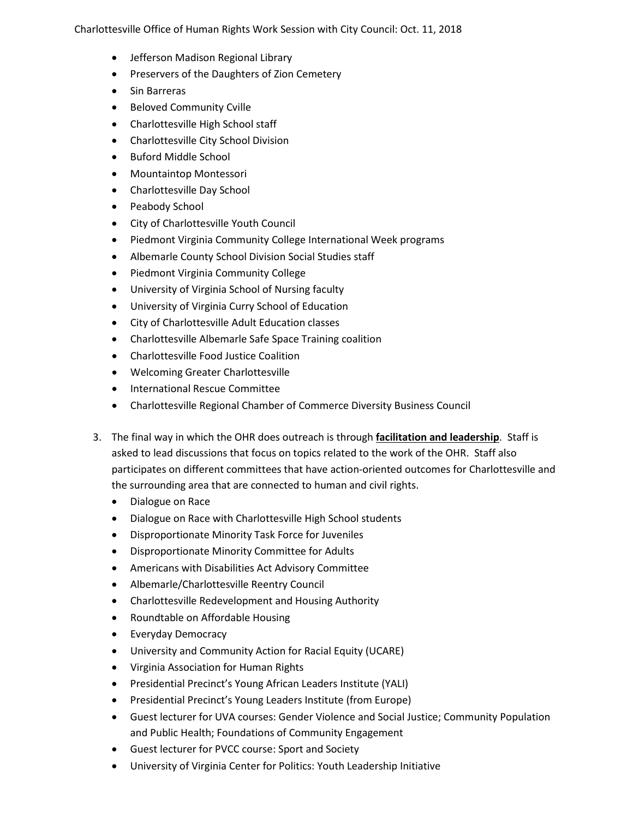- Jefferson Madison Regional Library
- Preservers of the Daughters of Zion Cemetery
- Sin Barreras
- Beloved Community Cville
- Charlottesville High School staff
- Charlottesville City School Division
- Buford Middle School
- Mountaintop Montessori
- Charlottesville Day School
- Peabody School
- City of Charlottesville Youth Council
- Piedmont Virginia Community College International Week programs
- Albemarle County School Division Social Studies staff
- Piedmont Virginia Community College
- University of Virginia School of Nursing faculty
- University of Virginia Curry School of Education
- City of Charlottesville Adult Education classes
- Charlottesville Albemarle Safe Space Training coalition
- Charlottesville Food Justice Coalition
- Welcoming Greater Charlottesville
- International Rescue Committee
- Charlottesville Regional Chamber of Commerce Diversity Business Council
- 3. The final way in which the OHR does outreach is through **facilitation and leadership**. Staff is asked to lead discussions that focus on topics related to the work of the OHR. Staff also participates on different committees that have action-oriented outcomes for Charlottesville and the surrounding area that are connected to human and civil rights.
	- Dialogue on Race
	- Dialogue on Race with Charlottesville High School students
	- Disproportionate Minority Task Force for Juveniles
	- Disproportionate Minority Committee for Adults
	- Americans with Disabilities Act Advisory Committee
	- Albemarle/Charlottesville Reentry Council
	- Charlottesville Redevelopment and Housing Authority
	- Roundtable on Affordable Housing
	- Everyday Democracy
	- University and Community Action for Racial Equity (UCARE)
	- Virginia Association for Human Rights
	- Presidential Precinct's Young African Leaders Institute (YALI)
	- Presidential Precinct's Young Leaders Institute (from Europe)
	- Guest lecturer for UVA courses: Gender Violence and Social Justice; Community Population and Public Health; Foundations of Community Engagement
	- Guest lecturer for PVCC course: Sport and Society
	- University of Virginia Center for Politics: Youth Leadership Initiative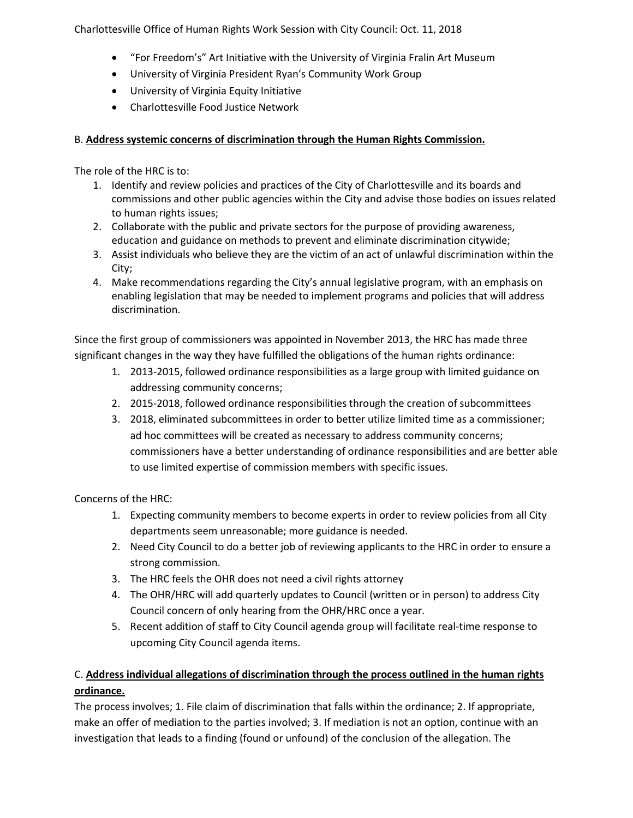- "For Freedom's" Art Initiative with the University of Virginia Fralin Art Museum
- University of Virginia President Ryan's Community Work Group
- University of Virginia Equity Initiative
- Charlottesville Food Justice Network

## B. **Address systemic concerns of discrimination through the Human Rights Commission.**

The role of the HRC is to:

- 1. Identify and review policies and practices of the City of Charlottesville and its boards and commissions and other public agencies within the City and advise those bodies on issues related to human rights issues;
- 2. Collaborate with the public and private sectors for the purpose of providing awareness, education and guidance on methods to prevent and eliminate discrimination citywide;
- 3. Assist individuals who believe they are the victim of an act of unlawful discrimination within the City;
- 4. Make recommendations regarding the City's annual legislative program, with an emphasis on enabling legislation that may be needed to implement programs and policies that will address discrimination.

Since the first group of commissioners was appointed in November 2013, the HRC has made three significant changes in the way they have fulfilled the obligations of the human rights ordinance:

- 1. 2013-2015, followed ordinance responsibilities as a large group with limited guidance on addressing community concerns;
- 2. 2015-2018, followed ordinance responsibilities through the creation of subcommittees
- 3. 2018, eliminated subcommittees in order to better utilize limited time as a commissioner; ad hoc committees will be created as necessary to address community concerns; commissioners have a better understanding of ordinance responsibilities and are better able to use limited expertise of commission members with specific issues.

Concerns of the HRC:

- 1. Expecting community members to become experts in order to review policies from all City departments seem unreasonable; more guidance is needed.
- 2. Need City Council to do a better job of reviewing applicants to the HRC in order to ensure a strong commission.
- 3. The HRC feels the OHR does not need a civil rights attorney
- 4. The OHR/HRC will add quarterly updates to Council (written or in person) to address City Council concern of only hearing from the OHR/HRC once a year.
- 5. Recent addition of staff to City Council agenda group will facilitate real-time response to upcoming City Council agenda items.

## C. **Address individual allegations of discrimination through the process outlined in the human rights ordinance.**

The process involves; 1. File claim of discrimination that falls within the ordinance; 2. If appropriate, make an offer of mediation to the parties involved; 3. If mediation is not an option, continue with an investigation that leads to a finding (found or unfound) of the conclusion of the allegation. The